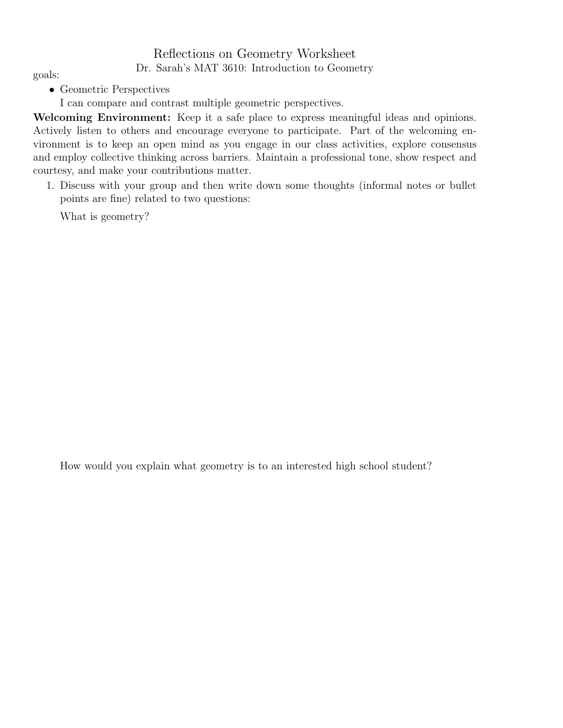## Reflections on Geometry Worksheet Dr. Sarah's MAT 3610: Introduction to Geometry goals:

• Geometric Perspectives

I can compare and contrast multiple geometric perspectives.

Welcoming Environment: Keep it a safe place to express meaningful ideas and opinions. Actively listen to others and encourage everyone to participate. Part of the welcoming environment is to keep an open mind as you engage in our class activities, explore consensus and employ collective thinking across barriers. Maintain a professional tone, show respect and courtesy, and make your contributions matter.

1. Discuss with your group and then write down some thoughts (informal notes or bullet points are fine) related to two questions:

What is geometry?

How would you explain what geometry is to an interested high school student?